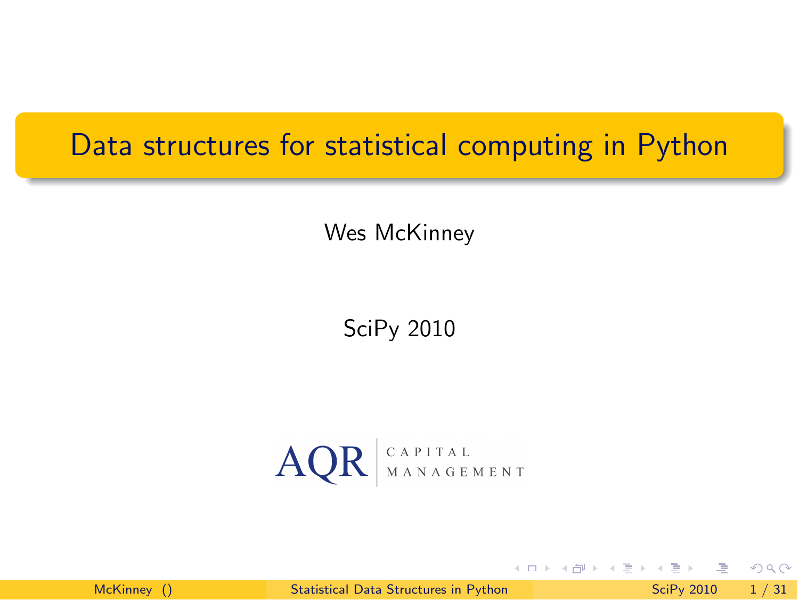#### Data structures for statistical computing in Python

Wes McKinney

SciPy 2010



McKinney () [Statistical Data Structures in Python](#page-35-0) SciPy 2010 1 / 31

4 **D** F

<span id="page-0-0"></span> $\Omega$ 

E.

→ 何 ▶ → 三 ▶ →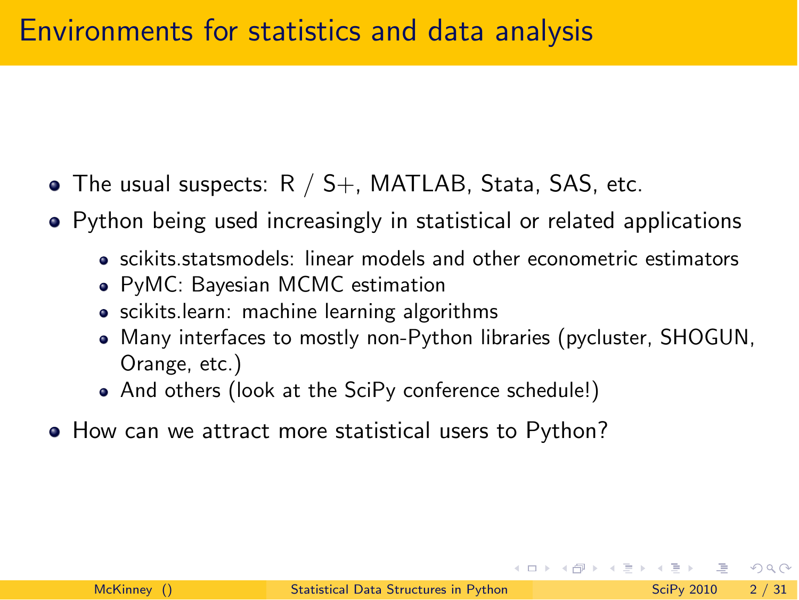- The usual suspects:  $R / S_{+}$ , MATLAB, Stata, SAS, etc.
- Python being used increasingly in statistical or related applications
	- scikits.statsmodels: linear models and other econometric estimators
	- PyMC: Bayesian MCMC estimation
	- scikits.learn: machine learning algorithms
	- Many interfaces to mostly non-Python libraries (pycluster, SHOGUN, Orange, etc.)
	- And others (look at the SciPy conference schedule!)
- How can we attract more statistical users to Python?

 $\equiv$   $\cap$  a  $\sim$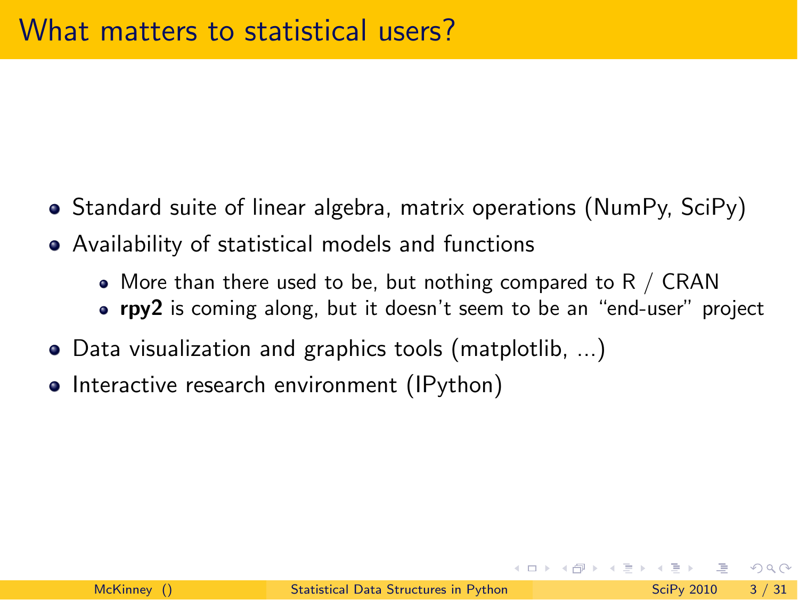- Standard suite of linear algebra, matrix operations (NumPy, SciPy)
- Availability of statistical models and functions
	- More than there used to be, but nothing compared to R / CRAN
	- **rpy2** is coming along, but it doesn't seem to be an "end-user" project
- Data visualization and graphics tools (matplotlib, ...)
- Interactive research environment (IPython)

 $\equiv$   $\cap$  a  $\sim$ 

⊀ 御 ⊁ .∢ 君 ⊁ .∢ 君 ⊁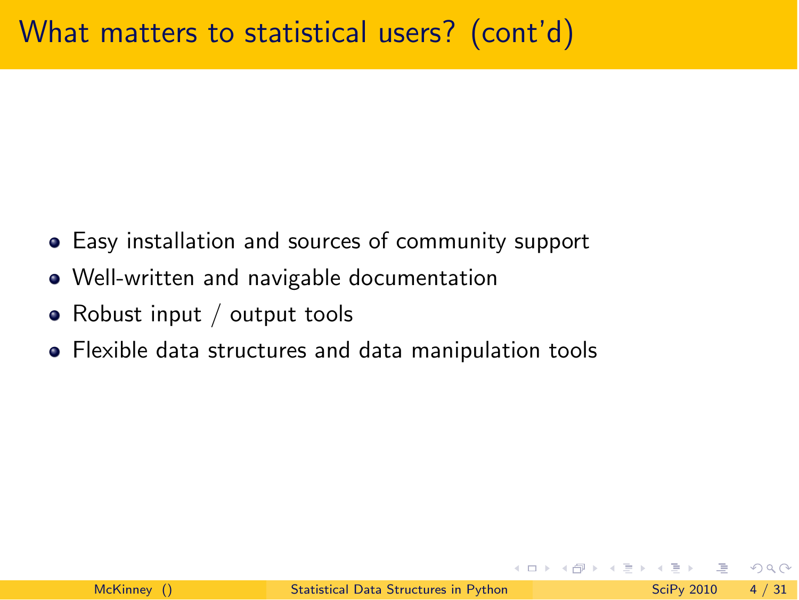- Easy installation and sources of community support
- Well-written and navigable documentation
- Robust input / output tools
- Flexible data structures and data manipulation tools

 $\equiv$   $\cap$   $\alpha$ 

 $\left\{ \left\vert \left\langle \left\langle \mathbf{q} \right\rangle \right\vert \right\} \right. \times \left\{ \left\vert \mathbf{q} \right\rangle \right\} \right.$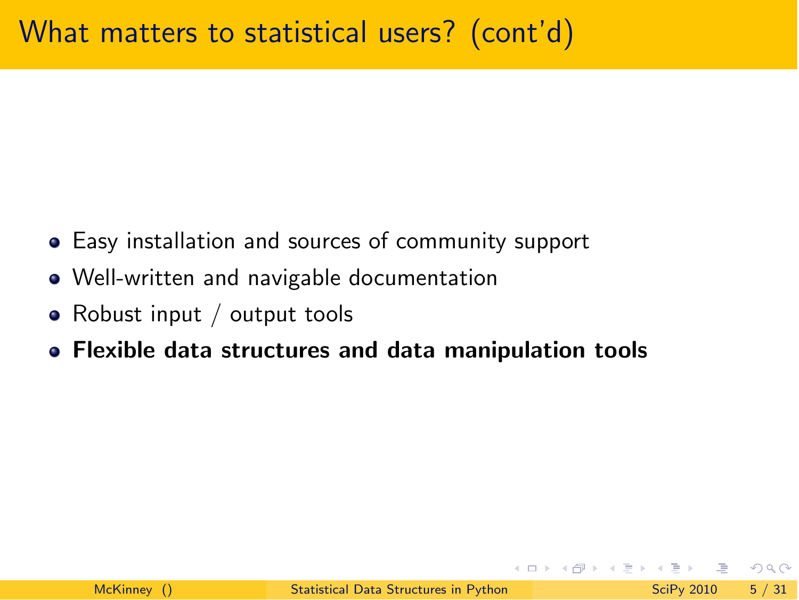- Easy installation and sources of community support
- Well-written and navigable documentation
- Robust input / output tools
- Flexible data structures and data manipulation tools

 $\equiv$   $\cap$   $\alpha$ 

 $A \oplus A \oplus A \oplus A$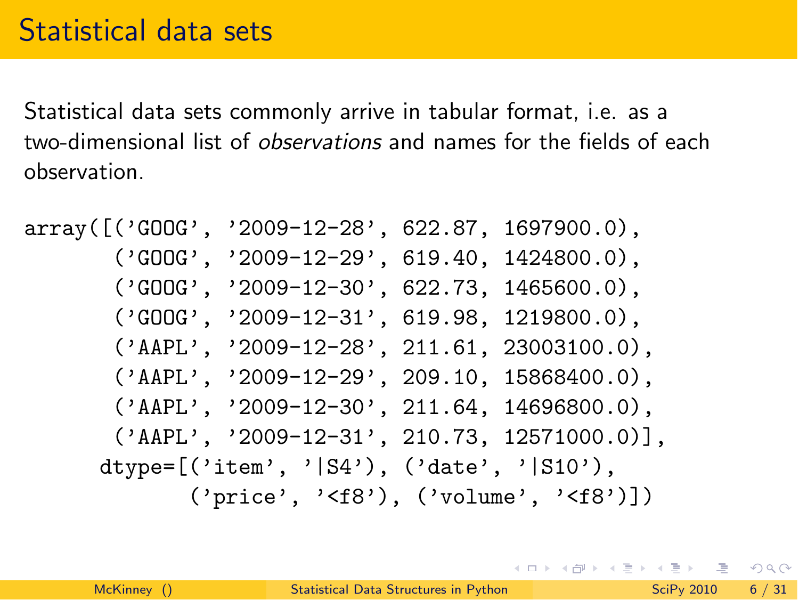Statistical data sets commonly arrive in tabular format, i.e. as a two-dimensional list of *observations* and names for the fields of each observation.

```
array([('GOOG', '2009-12-28', 622.87, 1697900.0),
       ('GOOG', '2009-12-29', 619.40, 1424800.0),('GOOG', '2009-12-30', 622.73, 1465600.0),
       ('GOOG', '2009-12-31', 619.98, 1219800.0),
       ('AAPL', '2009-12-28', 211.61, 23003100.0),
       ('AAPL', '2009-12-29', 209.10, 15868400.0),
       ('AAPL', '2009-12-30', 211.64, 14696800.0),
       ('AAPL', '2009-12-31', 210.73, 12571000.0)],
      dtype=[('item', '|S4'), ('date', '|S10'),
             ('price', '<f8'), ('volume', '<f8')])
```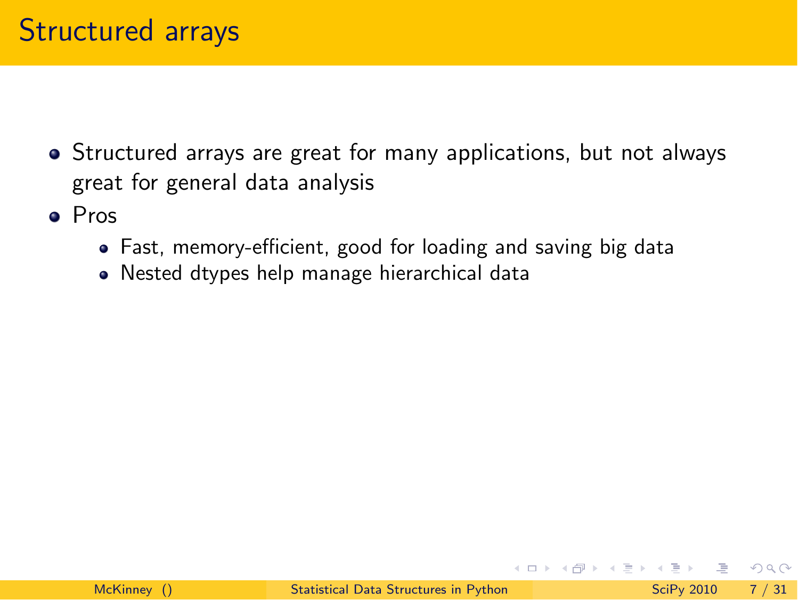- Structured arrays are great for many applications, but not always great for general data analysis
- Pros
	- Fast, memory-efficient, good for loading and saving big data
	- Nested dtypes help manage hierarchical data

→ 何 ▶ → 三 ▶ →

 $\Omega$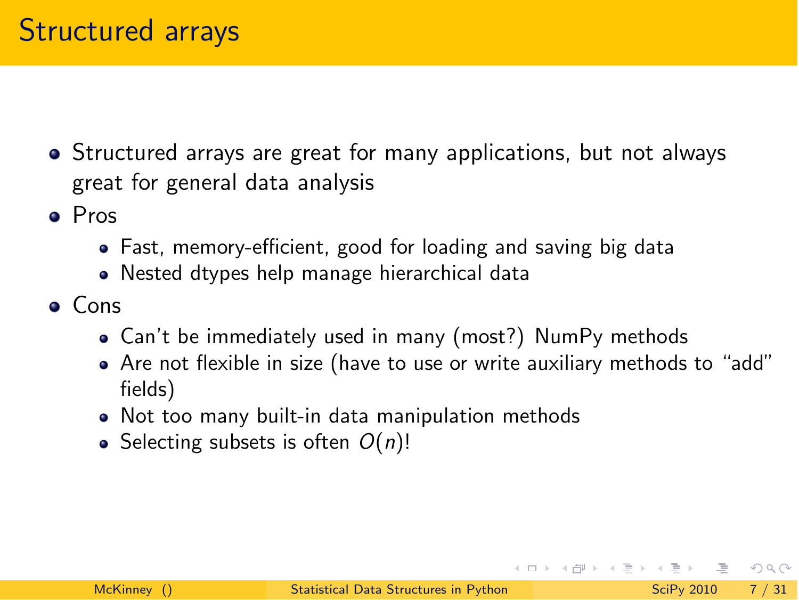- Structured arrays are great for many applications, but not always great for general data analysis
- Pros
	- Fast, memory-efficient, good for loading and saving big data
	- Nested dtypes help manage hierarchical data
- Cons
	- Can't be immediately used in many (most?) NumPy methods
	- Are not flexible in size (have to use or write auxiliary methods to "add" fields)
	- Not too many built-in data manipulation methods
	- Selecting subsets is often  $O(n)!$

 $\mathbf{P}$   $\mathbf{Q}$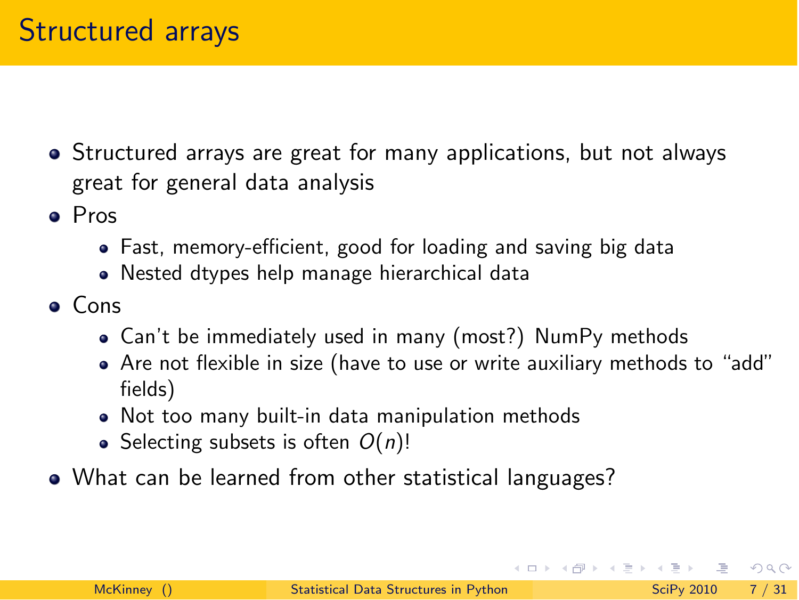- Structured arrays are great for many applications, but not always great for general data analysis
- Pros
	- Fast, memory-efficient, good for loading and saving big data
	- Nested dtypes help manage hierarchical data
- Cons
	- Can't be immediately used in many (most?) NumPy methods
	- Are not flexible in size (have to use or write auxiliary methods to "add" fields)
	- Not too many built-in data manipulation methods
	- Selecting subsets is often  $O(n)!$
- What can be learned from other statistical languages?

 $\Omega$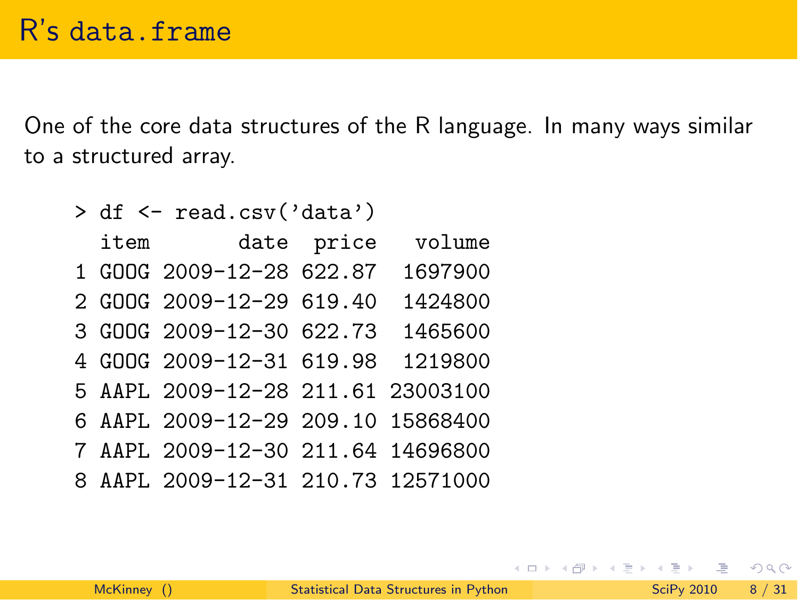One of the core data structures of the R language. In many ways similar to a structured array.

| > df <- read.csv('data') |                                   |            |         |  |
|--------------------------|-----------------------------------|------------|---------|--|
| item                     |                                   | date price | volume  |  |
|                          | 1 GOOG 2009-12-28 622.87          |            | 1697900 |  |
|                          | 2 GOOG 2009-12-29 619.40          |            | 1424800 |  |
|                          | 3 GOOG 2009-12-30 622.73          |            | 1465600 |  |
|                          | 4 GOOG 2009-12-31 619.98          |            | 1219800 |  |
|                          | 5 AAPL 2009-12-28 211.61 23003100 |            |         |  |
|                          | 6 AAPL 2009-12-29 209.10 15868400 |            |         |  |
|                          | 7 AAPL 2009-12-30 211.64 14696800 |            |         |  |
|                          | 8 AAPL 2009-12-31 210.73 12571000 |            |         |  |

 $\equiv$  990

イロト イ部 トイモト イモト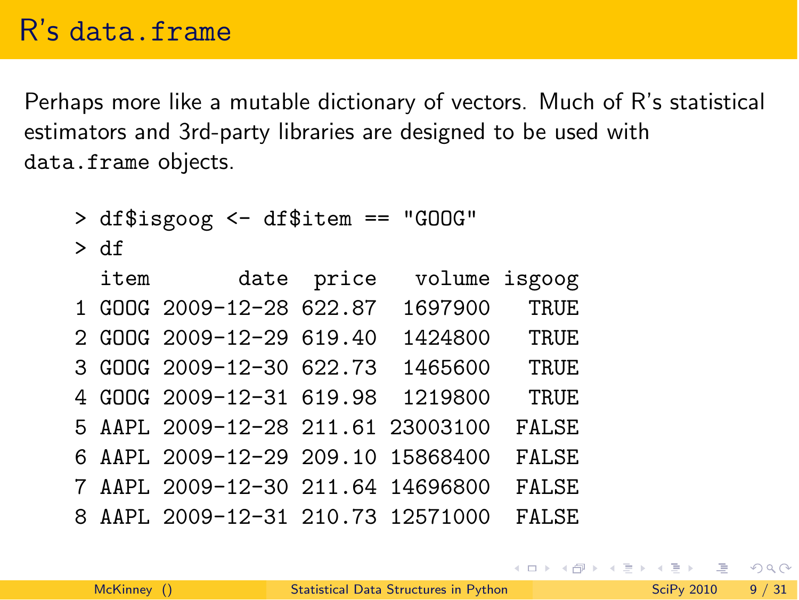Perhaps more like a mutable dictionary of vectors. Much of R's statistical estimators and 3rd-party libraries are designed to be used with data.frame objects.

> df\$isgoog <- df\$item == "GOOG"

> df

|   | item date price                   | volume isgoog |              |
|---|-----------------------------------|---------------|--------------|
|   | 1 GOOG 2009-12-28 622.87          | 1697900       | TRUE         |
|   | 2 GOOG 2009-12-29 619.40          | 1424800       | TRUE         |
|   | 3 GOOG 2009-12-30 622.73          | 1465600       | TRUE         |
|   | 4 GOOG 2009-12-31 619.98          | 1219800       | TRUE         |
|   | 5 AAPL 2009-12-28 211.61 23003100 |               | <b>FALSE</b> |
|   | 6 AAPL 2009-12-29 209.10 15868400 |               | <b>FALSE</b> |
|   | 7 AAPL 2009-12-30 211.64 14696800 |               | <b>FALSE</b> |
| 8 | AAPL 2009-12-31 210.73 12571000   |               | FALSE.       |

 $\equiv$   $\cap$   $\alpha$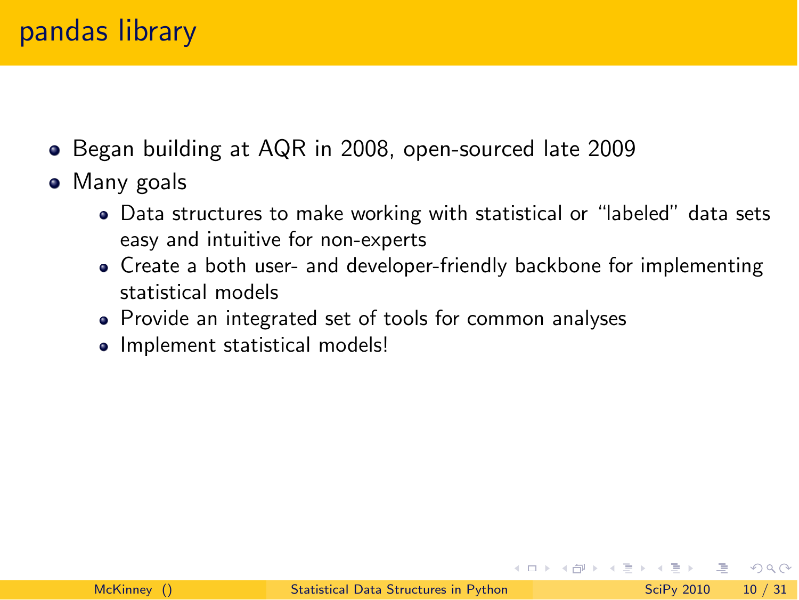#### pandas library

- Began building at AQR in 2008, open-sourced late 2009
- Many goals
	- Data structures to make working with statistical or "labeled" data sets easy and intuitive for non-experts
	- Create a both user- and developer-friendly backbone for implementing statistical models
	- Provide an integrated set of tools for common analyses
	- Implement statistical models!

こうしょう ミドラ つくべん しょうかい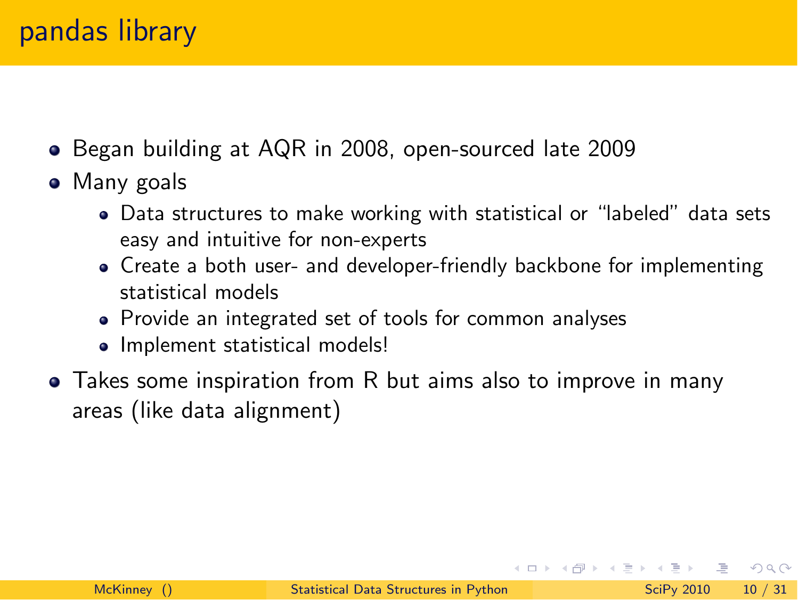- Began building at AQR in 2008, open-sourced late 2009
- Many goals
	- Data structures to make working with statistical or "labeled" data sets easy and intuitive for non-experts
	- Create a both user- and developer-friendly backbone for implementing statistical models
	- Provide an integrated set of tools for common analyses
	- Implement statistical models!
- Takes some inspiration from R but aims also to improve in many areas (like data alignment)

 $\equiv$   $\curvearrowleft$  a  $\curvearrowright$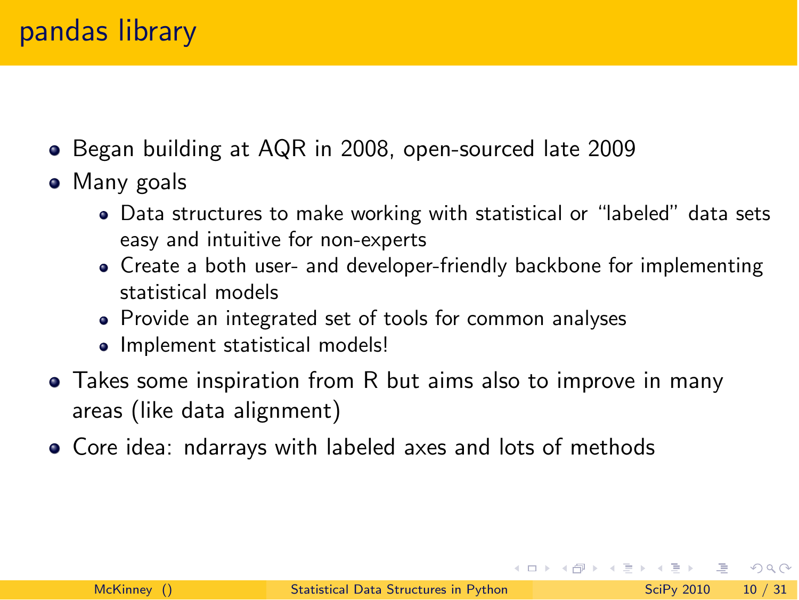- Began building at AQR in 2008, open-sourced late 2009
- Many goals
	- Data structures to make working with statistical or "labeled" data sets easy and intuitive for non-experts
	- Create a both user- and developer-friendly backbone for implementing statistical models
	- Provide an integrated set of tools for common analyses
	- Implement statistical models!
- Takes some inspiration from R but aims also to improve in many areas (like data alignment)
- Core idea: ndarrays with labeled axes and lots of methods

こうしょう ミドラ つくべん しょうかい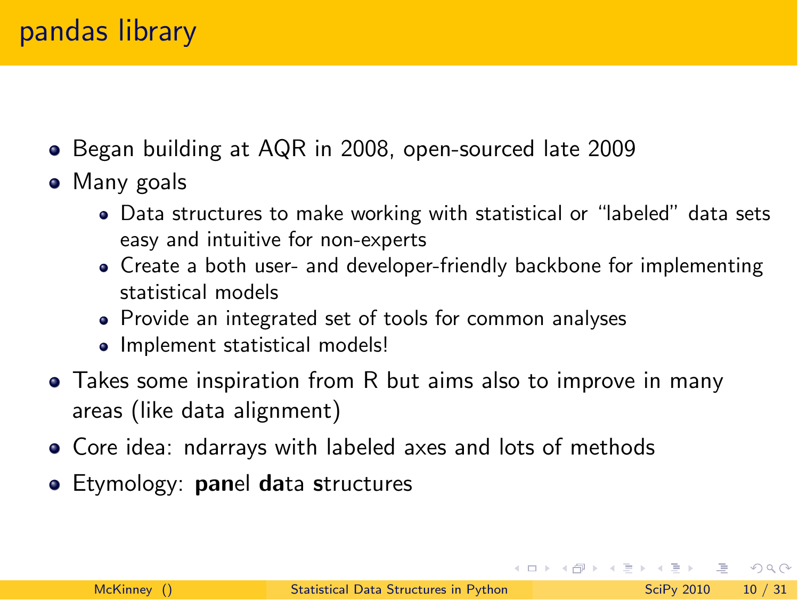- Began building at AQR in 2008, open-sourced late 2009
- Many goals
	- Data structures to make working with statistical or "labeled" data sets easy and intuitive for non-experts
	- Create a both user- and developer-friendly backbone for implementing statistical models
	- Provide an integrated set of tools for common analyses
	- Implement statistical models!
- Takes some inspiration from R but aims also to improve in many areas (like data alignment)
- Core idea: ndarrays with labeled axes and lots of methods
- **Etymology: panel data structures**

 $\equiv$   $\cap$  a  $\sim$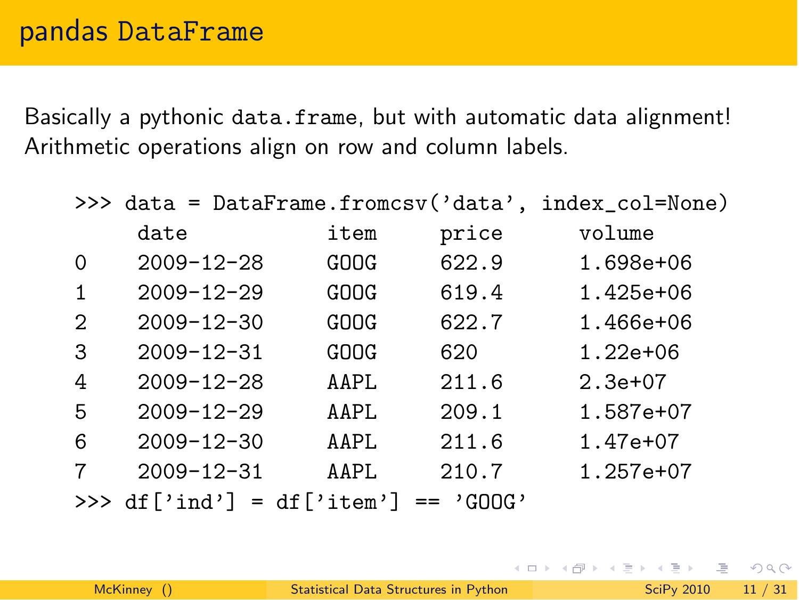Basically a pythonic data.frame, but with automatic data alignment! Arithmetic operations align on row and column labels.

|          | >>> data = DataFrame.fromcsv('data', index_col=None) |      |       |               |  |
|----------|------------------------------------------------------|------|-------|---------------|--|
|          | date                                                 | item | price | volume        |  |
| $\Omega$ | $2009 - 12 - 28$                                     | GOOG | 622.9 | 1.698e+06     |  |
| 1        | $2009 - 12 - 29$                                     | GOOG | 619.4 | $1.425e + 06$ |  |
| 2        | $2009 - 12 - 30$                                     | GOOG | 622.7 | $1.466e+06$   |  |
| 3        | $2009 - 12 - 31$                                     | GOOG | 620   | $1.22e+06$    |  |
| 4        | $2009 - 12 - 28$                                     | AAPL | 211.6 | $2.3e+07$     |  |
| 5        | $2009 - 12 - 29$                                     | AAPL | 209.1 | 1.587e+07     |  |
| 6        | $2009 - 12 - 30$                                     | AAPL | 211.6 | 1.47e+07      |  |
|          | $2009 - 12 - 31$                                     | AAPL | 210.7 | $1.257e+07$   |  |
|          | >>> $df['ind'] = df['item'] == 'GOOG'$               |      |       |               |  |

 $\equiv$   $\cap$  a  $\sim$ 

イロト イ押 トイラト イヨー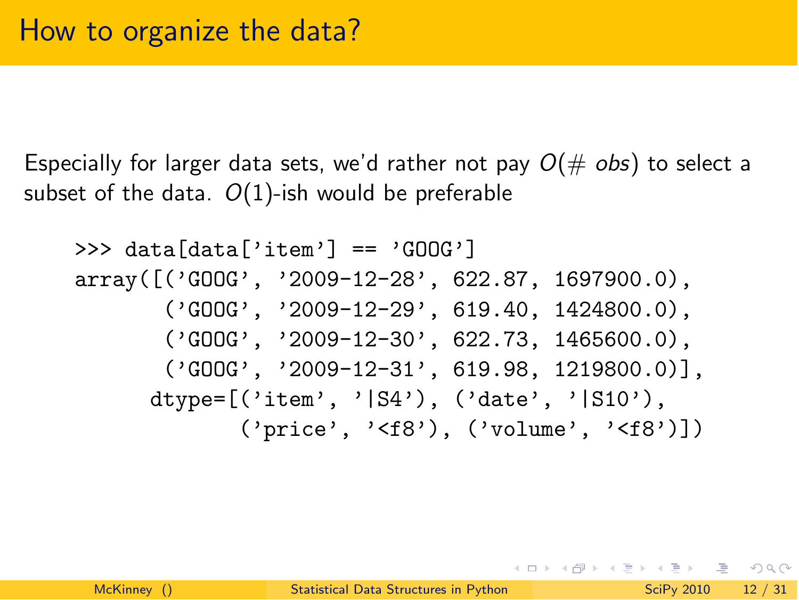Especially for larger data sets, we'd rather not pay  $O(\text{# obs})$  to select a subset of the data. *O*(1)-ish would be preferable

```
>>> data[data['item'] == 'GOOG']
array([('GOOG', '2009-12-28', 622.87, 1697900.0),
       ('GOOG', '2009-12-29', 619.40, 1424800.0),
       ('GOOG', '2009-12-30', 622.73, 1465600.0),
       ('GOOG', '2009-12-31', 619.98, 1219800.0),
      dtype=[('item', '|S4'), ('date', '|S10'),
             ('price', '<f8'), ('volume', '<f8')])
```
KID KARIK KEN ELI KARIK KIDIK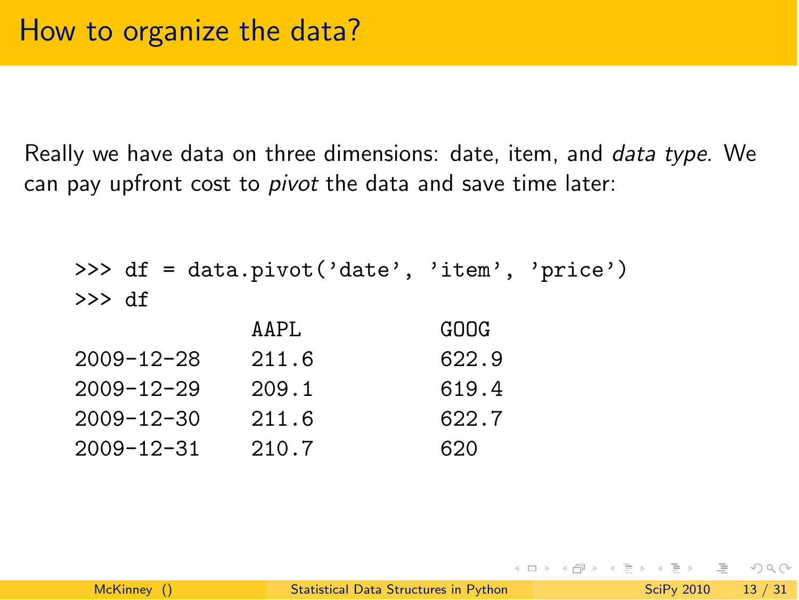Really we have data on three dimensions: date, item, and *data type*. We can pay upfront cost to *pivot* the data and save time later:

|                  | >>> df = data.pivot('date', 'item', 'price') |       |  |
|------------------|----------------------------------------------|-------|--|
| >>> df           |                                              |       |  |
|                  | AAPI.                                        | GOOG  |  |
| $2009 - 12 - 28$ | 211.6                                        | 622.9 |  |
| $2009 - 12 - 29$ | 209.1                                        | 619.4 |  |
| $2009 - 12 - 30$ | 211.6                                        | 622.7 |  |
| $2009 - 12 - 31$ | 210.7                                        | 620   |  |

KID KARIK KEN ELI KARIK KIDIK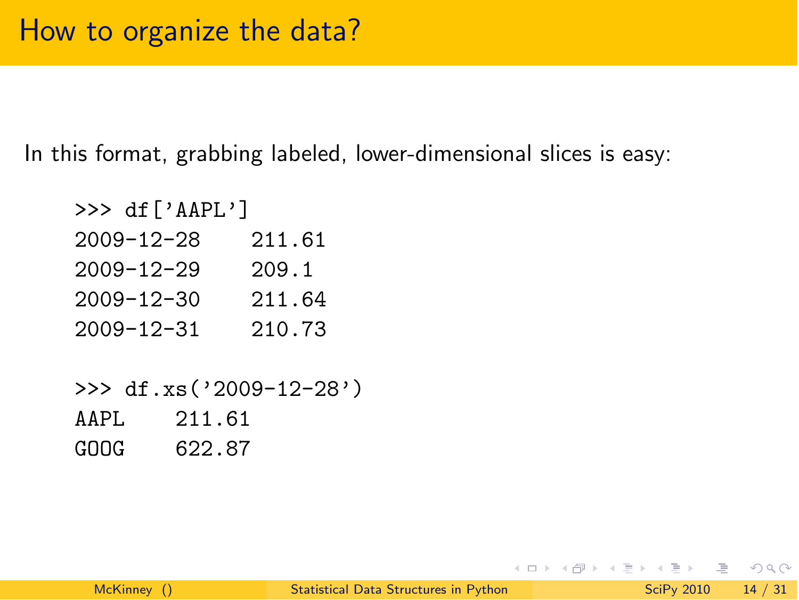In this format, grabbing labeled, lower-dimensional slices is easy:

| >>> $df['AAPL']$ |        |
|------------------|--------|
| $2009 - 12 - 28$ | 211.61 |
| $2009 - 12 - 29$ | 209.1  |
| $2009 - 12 - 30$ | 211.64 |
| $2009 - 12 - 31$ | 210.73 |

>>> df.xs('2009-12-28') AAPL 211.61 GOOG 622.87

イロト イ押ト イラト イラト

 $\equiv$   $\cap$   $\alpha$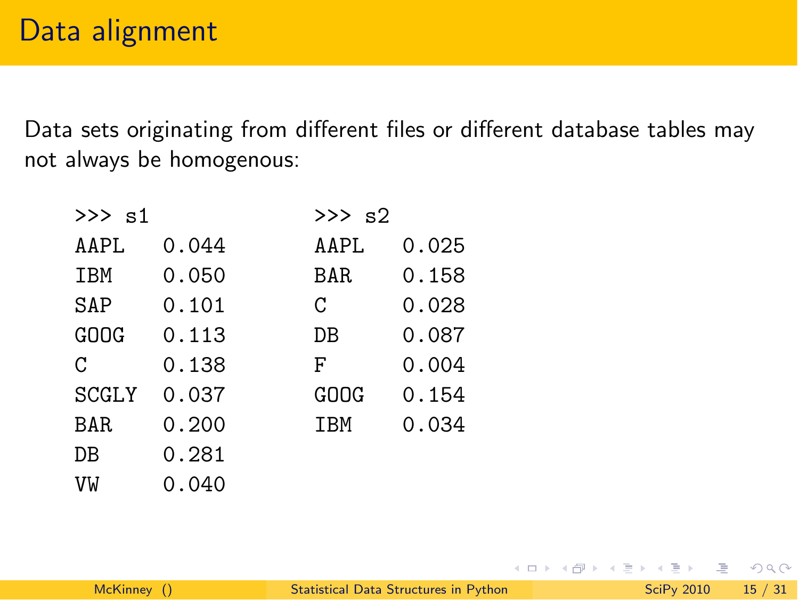Data sets originating from different files or different database tables may not always be homogenous:

| $\gg$ s1     |       |      | $>>$ s2 |  |  |
|--------------|-------|------|---------|--|--|
| AAPL         | 0.044 | AAPL | 0.025   |  |  |
| IBM          | 0.050 | BAR  | 0.158   |  |  |
| SAP          | 0.101 | C    | 0.028   |  |  |
| GOOG         | 0.113 | DB   | 0.087   |  |  |
| C            | 0.138 | F    | 0.004   |  |  |
| <b>SCGLY</b> | 0.037 | GOOG | 0.154   |  |  |
| BAR          | 0.200 | IBM  | 0.034   |  |  |
| DB           | 0.281 |      |         |  |  |
| VW           | 0.040 |      |         |  |  |

イロト イ押ト イラト イラト

 $\equiv$  990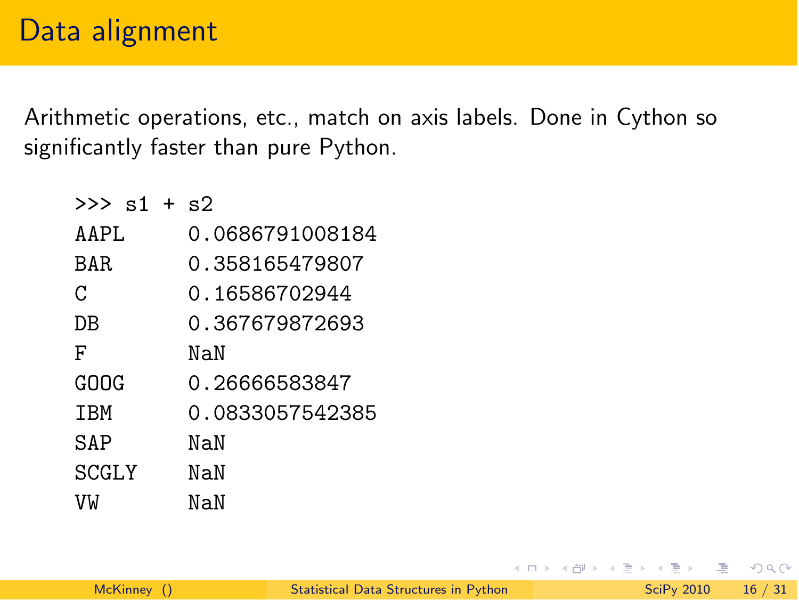Arithmetic operations, etc., match on axis labels. Done in Cython so significantly faster than pure Python.

| $>>$ s1 + s2 |                 |
|--------------|-----------------|
| AAPI.        | 0.0686791008184 |
| BAR.         | 0.358165479807  |
| C            | 0.16586702944   |
| DΒ           | 0.367679872693  |
| F            | NaN             |
| ርበበር         | 0.26666583847   |
| <b>TBM</b>   | 0.0833057542385 |
| SAP          | NaN             |
| SCGLY        | NaN             |
| VW           | NaN             |

イロト イ押 トイヨト イヨ

 $\equiv$  990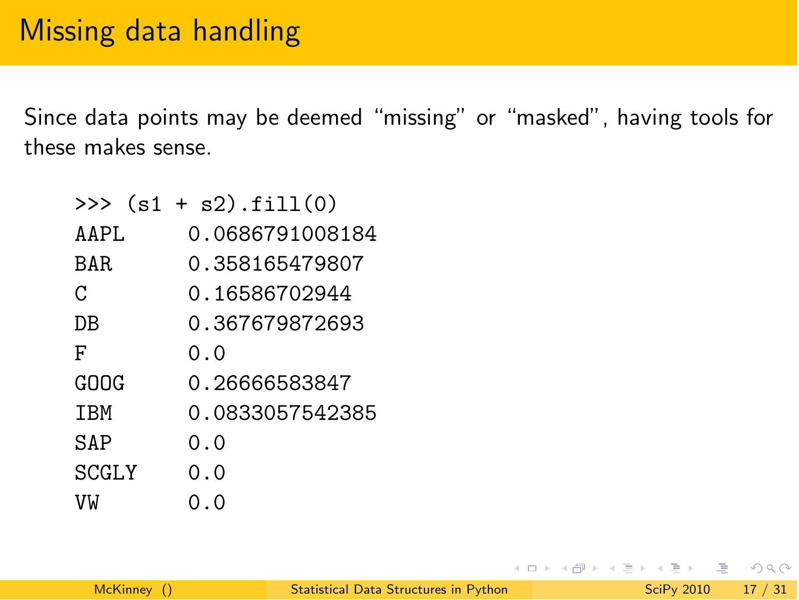Since data points may be deemed "missing" or "masked", having tools for these makes sense.

|            | $\gg$ (s1 + s2).fill(0) |
|------------|-------------------------|
| AAPI.      | 0.0686791008184         |
| BAR.       | 0.358165479807          |
| C          | 0.16586702944           |
| DΒ         | 0.367679872693          |
| F          | 0.0                     |
| ርበበር       | 0.26666583847           |
| <b>TBM</b> | 0.0833057542385         |
| SAP        | 0.0                     |
| SCGLY      | 0.0                     |
| VW         | 0.0                     |

イロト イ押ト イラト イラト

 $\equiv$   $\cap$   $\alpha$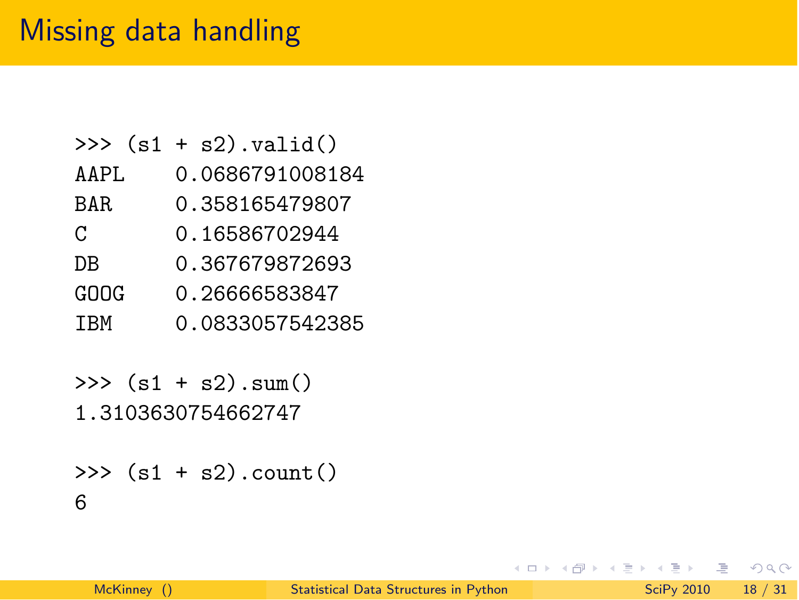#### Missing data handling

|            | >>> $(s1 + s2)$ .valid() |
|------------|--------------------------|
| AAPL       | 0.0686791008184          |
| BAR.       | 0.358165479807           |
| C          | 0.16586702944            |
| DΒ         | 0.367679872693           |
| GOOG       | 0.26666583847            |
| <b>TBM</b> | 0.0833057542385          |
|            |                          |

 $\gg$  (s1 + s2). sum() 1.3103630754662747

```
\gg (s1 + s2).count()
6
```
イロト イ押ト イラト イラト

 $\equiv$  990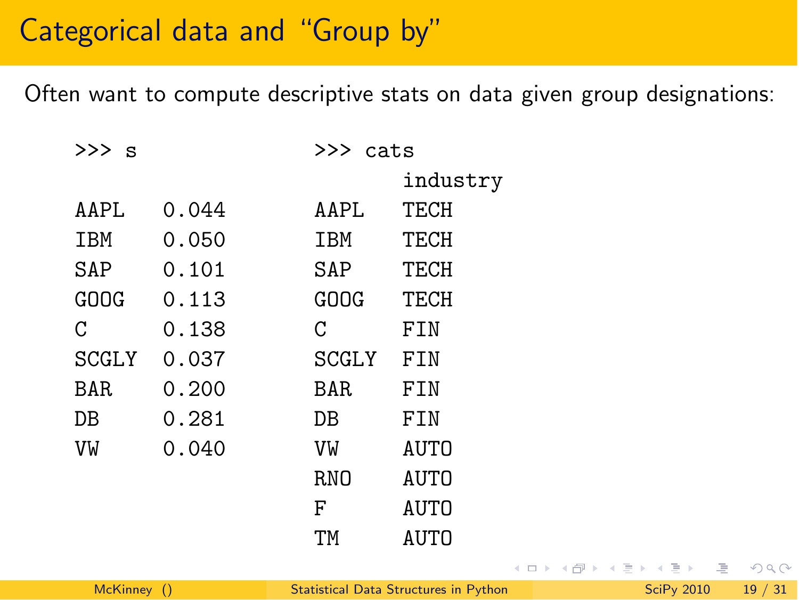#### Categorical data and "Group by"

Often want to compute descriptive stats on data given group designations:

| >>> s        |       | >>> cats     |          |
|--------------|-------|--------------|----------|
|              |       |              | industry |
| AAPI.        | 0.044 | AAPI.        | TECH     |
| IBM          | 0.050 | IBM          | TECH     |
| SAP          | 0.101 | SAP          | TECH     |
| GOOG         | 0.113 | GOOG         | TECH     |
| C            | 0.138 | C            | FIN      |
| <b>SCGLY</b> | 0.037 | <b>SCGLY</b> | FIN      |
| BAR.         | 0.200 | BAR.         | FIN      |
| DB           | 0.281 | DB           | FTN      |
| VW           | 0.040 | VW           | AUTO     |
|              |       | RNO          | AUTO     |
|              |       | F            | AUTO     |
|              |       | ΤМ           | AUTO     |

イロト イ押ト イラト イラト

 $\equiv$   $\cap$   $\alpha$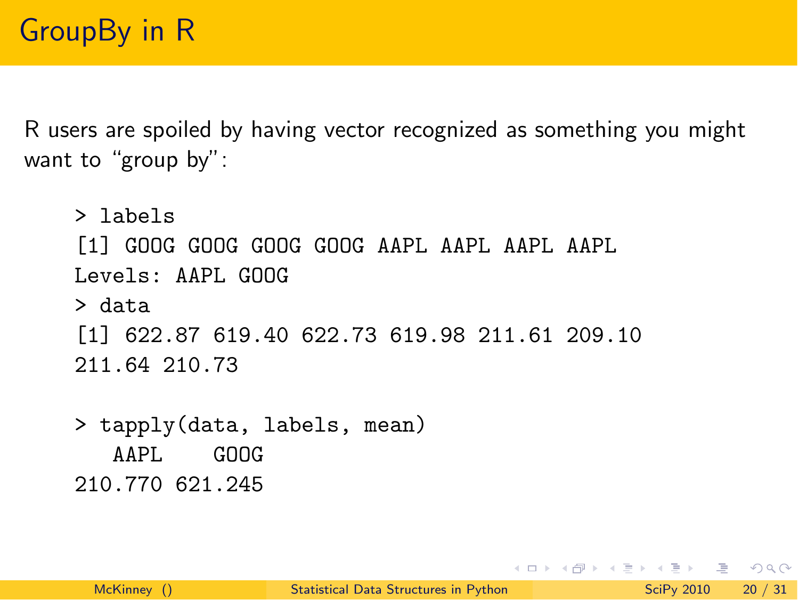R users are spoiled by having vector recognized as something you might want to "group by":

```
> labels
[1] GOOG GOOG GOOG GOOG AAPL AAPL AAPL AAPL
Levels: AAPL GOOG
> data
[1] 622.87 619.40 622.73 619.98 211.61 209.10
211.64 210.73
```
> tapply(data, labels, mean) AAPL GOOG 210.770 621.245

KED KARD KED KED E VOOR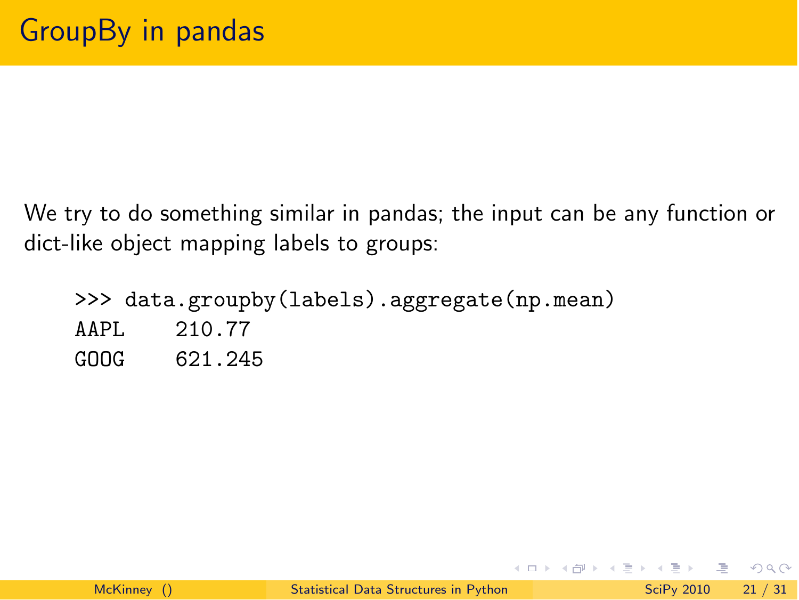We try to do something similar in pandas; the input can be any function or dict-like object mapping labels to groups:

>>> data.groupby(labels).aggregate(np.mean) AAPL 210.77 GOOG 621.245

 $\equiv$   $\cap$   $\alpha$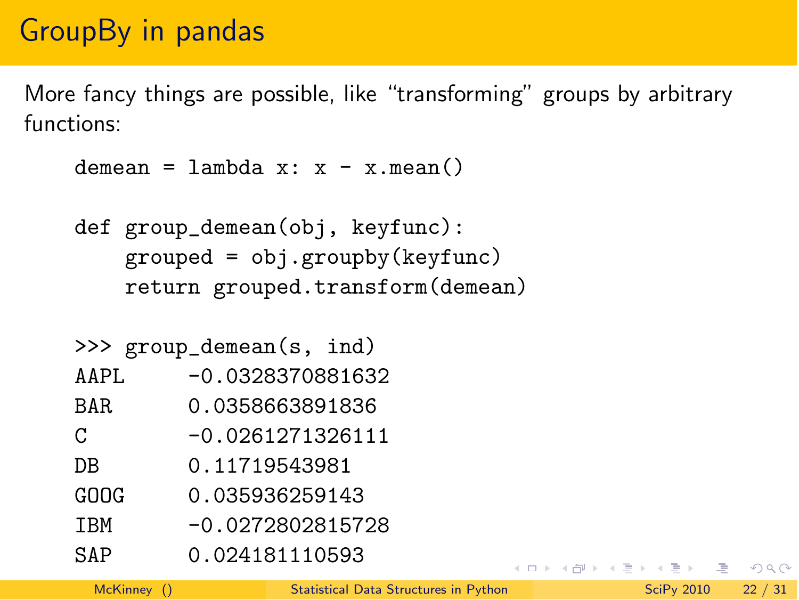### GroupBy in pandas

More fancy things are possible, like "transforming" groups by arbitrary functions:

```
demean = lambda x: x - x.mean()
```
def group\_demean(obj, keyfunc): grouped = obj.groupby(keyfunc) return grouped.transform(demean)

|            | >>> group_demean(s, ind) |
|------------|--------------------------|
| AAPL       | $-0.0328370881632$       |
| BAR.       | 0.0358663891836          |
| C          | $-0.0261271326111$       |
| DΒ         | 0.11719543981            |
| GOOG       | 0.035936259143           |
| <b>TRM</b> | $-0.0272802815728$       |
| SAP        | 0.024181110593           |

KID KARIK KEN ELI KARIK KIDIK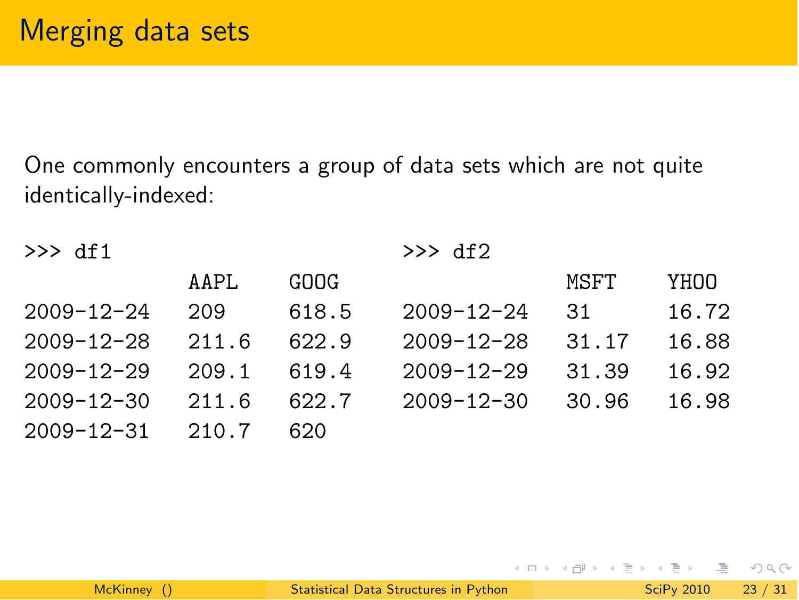One commonly encounters a group of data sets which are not quite identically-indexed:

| $\gg$ df1        |       |       | $\gg$ df2        |       |       |
|------------------|-------|-------|------------------|-------|-------|
|                  | AAPL  | GOOG  |                  | MSFT  | YHOO  |
| $2009 - 12 - 24$ | 209   | 618.5 | $2009 - 12 - 24$ | .31   | 16.72 |
| $2009 - 12 - 28$ | 211.6 | 622.9 | $2009 - 12 - 28$ | 31.17 | 16.88 |
| $2009 - 12 - 29$ | 209.1 | 619.4 | $2009 - 12 - 29$ | 31.39 | 16.92 |
| $2009 - 12 - 30$ | 211.6 | 622.7 | $2009 - 12 - 30$ | 30.96 | 16.98 |
| $2009 - 12 - 31$ | 210.7 | 620   |                  |       |       |

 $\equiv$ 

 $4$  ロ }  $4$   $4$   $9$  }  $4$   $\equiv$  }  $-4$ 

 $\equiv$   $\cap$   $\alpha$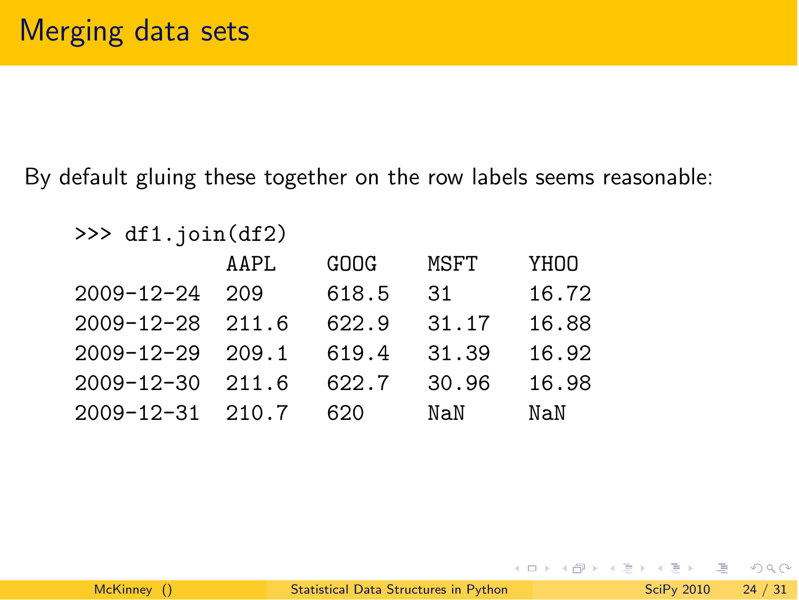By default gluing these together on the row labels seems reasonable:

```
\gg df1.join(df2)
         AAPL GOOG MSFT YHOO
2009-12-24 209 618.5 31 16.72
2009-12-28 211.6 622.9 31.17 16.88
2009-12-29 209.1 619.4 31.39 16.92
2009-12-30 211.6 622.7 30.96 16.98
2009-12-31 210.7 620 NaN NaN
```
 $\Omega$ 

イ何 ト イヨ ト イヨ ト

 $\leftarrow$   $\Box$   $\rightarrow$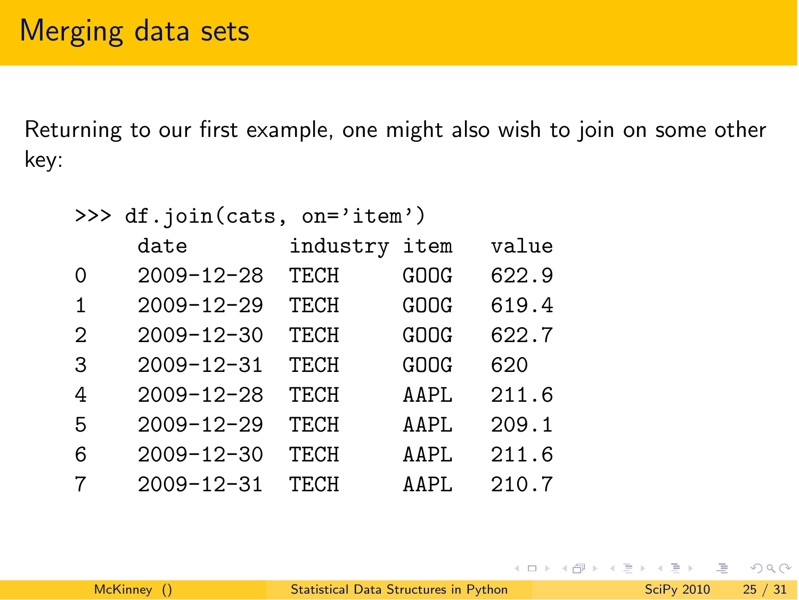Returning to our first example, one might also wish to join on some other key:

|               | >>> df.join(cats, on='item') |               |      |       |
|---------------|------------------------------|---------------|------|-------|
|               | date                         | industry item |      | value |
| 0             | $2009 - 12 - 28$             | TECH          | GOOG | 622.9 |
| 1             | $2009 - 12 - 29$             | TECH          | GOOG | 619.4 |
| $\mathcal{D}$ | $2009 - 12 - 30$             | TECH          | GOOG | 622.7 |
| 3             | $2009 - 12 - 31$             | TECH          | GOOG | 620   |
| 4             | $2009 - 12 - 28$             | TECH          | AAPL | 211.6 |
| 5             | $2009 - 12 - 29$             | TECH          | AAPL | 209.1 |
| 6             | $2009 - 12 - 30$             | TECH          | AAPL | 211.6 |
| 7             | $2009 - 12 - 31$             | TECH          | AAPL | 210.7 |

 $\equiv$  990

イロト イ部 トイヨト イヨト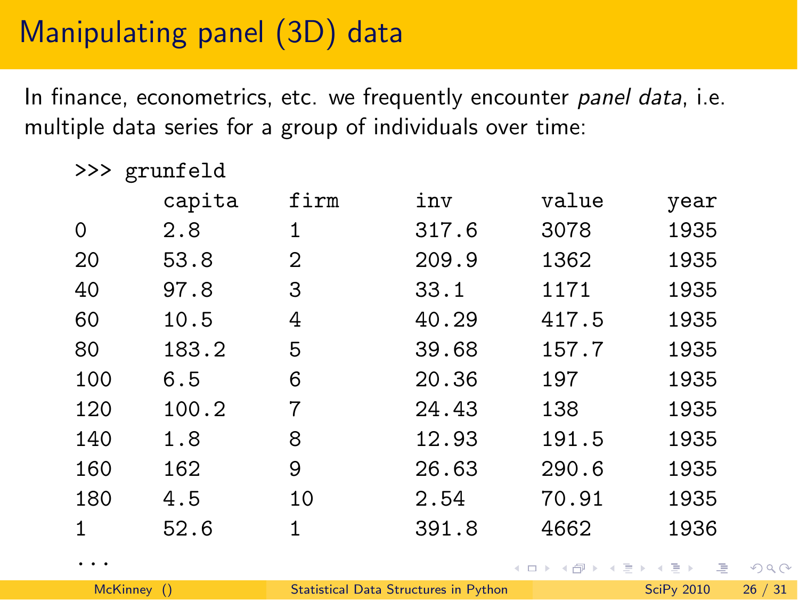# Manipulating panel (3D) data

In finance, econometrics, etc. we frequently encounter *panel data*, i.e. multiple data series for a group of individuals over time:

| >>> | grunfeld |      |       |                                                                                                                                                                                                                                                    |      |
|-----|----------|------|-------|----------------------------------------------------------------------------------------------------------------------------------------------------------------------------------------------------------------------------------------------------|------|
|     | capita   | firm | inv   | value                                                                                                                                                                                                                                              | year |
| 0   | 2.8      | 1    | 317.6 | 3078                                                                                                                                                                                                                                               | 1935 |
| 20  | 53.8     | 2    | 209.9 | 1362                                                                                                                                                                                                                                               | 1935 |
| 40  | 97.8     | 3    | 33.1  | 1171                                                                                                                                                                                                                                               | 1935 |
| 60  | 10.5     | 4    | 40.29 | 417.5                                                                                                                                                                                                                                              | 1935 |
| 80  | 183.2    | 5    | 39.68 | 157.7                                                                                                                                                                                                                                              | 1935 |
| 100 | 6.5      | 6    | 20.36 | 197                                                                                                                                                                                                                                                | 1935 |
| 120 | 100.2    | 7    | 24.43 | 138                                                                                                                                                                                                                                                | 1935 |
| 140 | 1.8      | 8    | 12.93 | 191.5                                                                                                                                                                                                                                              | 1935 |
| 160 | 162      | 9    | 26.63 | 290.6                                                                                                                                                                                                                                              | 1935 |
| 180 | 4.5      | 10   | 2.54  | 70.91                                                                                                                                                                                                                                              | 1935 |
| 1   | 52.6     | 1    | 391.8 | 4662                                                                                                                                                                                                                                               | 1936 |
| .   |          |      |       | $\left\{ \begin{array}{ccc} 1 & 0 & 0 \\ 0 & 1 & 0 \end{array} \right\}$ , $\left\{ \begin{array}{ccc} \frac{1}{2} & 0 & 0 \\ 0 & 0 & 0 \end{array} \right\}$ , $\left\{ \begin{array}{ccc} \frac{1}{2} & 0 & 0 \\ 0 & 0 & 0 \end{array} \right\}$ |      |

 $\Omega$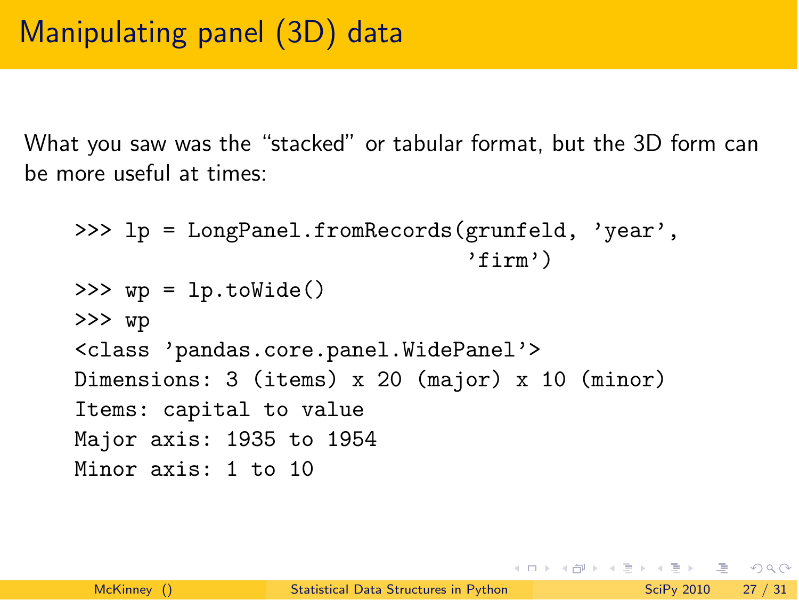What you saw was the "stacked" or tabular format, but the 3D form can be more useful at times:

```
>>> lp = LongPanel.fromRecords(grunfeld, 'year',
                                'firm')
>>> wp = lp.toWide()
>>> wp
<class 'pandas.core.panel.WidePanel'>
Dimensions: 3 (items) x 20 (major) x 10 (minor)
Items: capital to value
Major axis: 1935 to 1954
Minor axis: 1 to 10
```
**KED KARD KED KED E VOOR**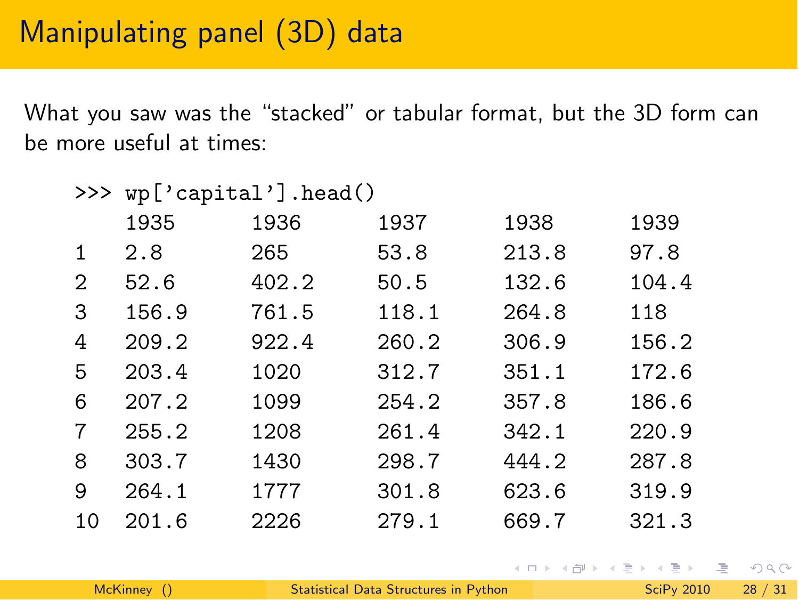### Manipulating panel (3D) data

What you saw was the "stacked" or tabular format, but the 3D form can be more useful at times:

| >>> | wp['capital'].head() |       |       |       |       |
|-----|----------------------|-------|-------|-------|-------|
|     | 1935                 | 1936  | 1937  | 1938  | 1939  |
| 1   | 2.8                  | 265   | 53.8  | 213.8 | 97.8  |
| 2   | 52.6                 | 402.2 | 50.5  | 132.6 | 104.4 |
| 3   | 156.9                | 761.5 | 118.1 | 264.8 | 118   |
| 4   | 209.2                | 922.4 | 260.2 | 306.9 | 156.2 |
| 5   | 203.4                | 1020  | 312.7 | 351.1 | 172.6 |
| 6   | 207.2                | 1099  | 254.2 | 357.8 | 186.6 |
| 7   | 255.2                | 1208  | 261.4 | 342.1 | 220.9 |
| 8   | 303.7                | 1430  | 298.7 | 444.2 | 287.8 |
| 9   | 264.1                | 1777  | 301.8 | 623.6 | 319.9 |
| 10  | 201.6                | 2226  | 279.1 | 669.7 | 321.3 |

KED KARD KED KED E VOOR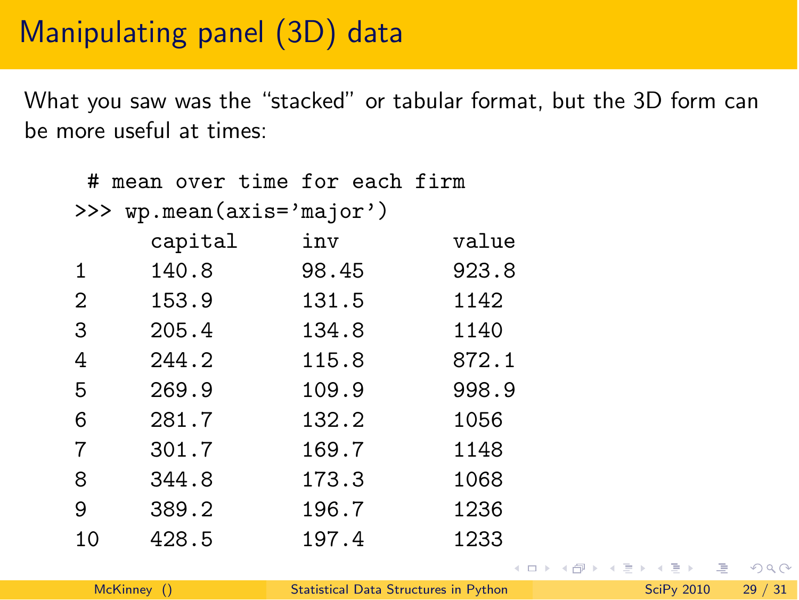# Manipulating panel (3D) data

What you saw was the "stacked" or tabular format, but the 3D form can be more useful at times:

|                           | # mean over time for each firm |       |                                |  |
|---------------------------|--------------------------------|-------|--------------------------------|--|
| >>> wp.mean(axis='major') |                                |       |                                |  |
|                           | capital                        | inv   | value                          |  |
| 1                         | 140.8                          | 98.45 | 923.8                          |  |
| $\overline{2}$            | 153.9                          | 131.5 | 1142                           |  |
| 3                         | 205.4                          | 134.8 | 1140                           |  |
| 4                         | 244.2                          | 115.8 | 872.1                          |  |
| 5                         | 269.9                          | 109.9 | 998.9                          |  |
| 6                         | 281.7                          | 132.2 | 1056                           |  |
| 7                         | 301.7                          | 169.7 | 1148                           |  |
| 8                         | 344.8                          | 173.3 | 1068                           |  |
| 9                         | 389.2                          | 196.7 | 1236                           |  |
| 10                        | 428.5                          | 197.4 | 1233                           |  |
|                           |                                |       | イロト イ母 トイラト イラト・ラー<br>$\Omega$ |  |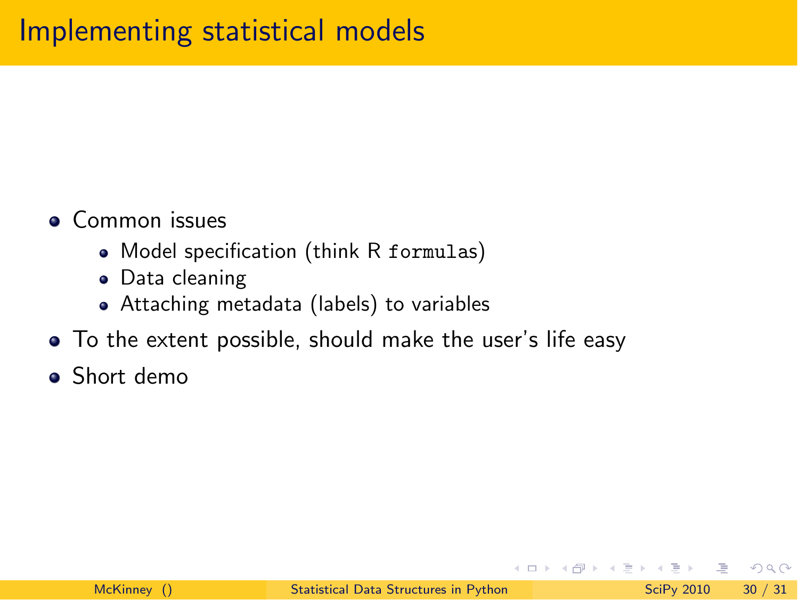- **Common issues** 
	- Model specification (think R formulas)
	- Data cleaning
	- Attaching metadata (labels) to variables
- To the extent possible, should make the user's life easy
- **•** Short demo

4 **D** F

 $\eta$ a